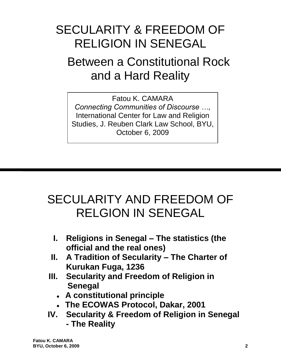# SECULARITY & FREEDOM OF RELIGION IN SENEGAL

# Between a Constitutional Rock and a Hard Reality

Fatou K. CAMARA *Connecting Communities of Discourse …,* International Center for Law and Religion Studies, J. Reuben Clark Law School, BYU, October 6, 2009

# SECULARITY AND FREEDOM OF RELGION IN SENEGAL

- **I. Religions in Senegal – The statistics (the official and the real ones)**
- **II. A Tradition of Secularity – The Charter of Kurukan Fuga, 1236**
- **III. Secularity and Freedom of Religion in Senegal**
	- **A constitutional principle**
	- **The ECOWAS Protocol, Dakar, 2001**
- **IV. Secularity & Freedom of Religion in Senegal - The Reality**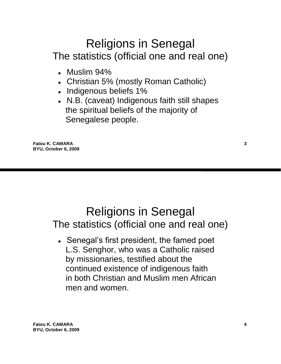# Religions in Senegal The statistics (official one and real one)

- Muslim 94%
- Christian 5% (mostly Roman Catholic)
- Indigenous beliefs 1%
- N.B. (caveat) Indigenous faith still shapes the spiritual beliefs of the majority of Senegalese people.

**Fatou K. CAMARA 3 BYU, October 6, 2009**

## Religions in Senegal The statistics (official one and real one)

 **●** Senegal"s first president, the famed poet L.S. Senghor, who was a Catholic raised by missionaries, testified about the continued existence of indigenous faith in both Christian and Muslim men African men and women.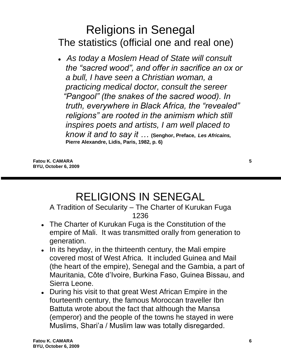# Religions in Senegal The statistics (official one and real one)

 **●** *As today a Moslem Head of State will consult the "sacred wood", and offer in sacrifice an ox or a bull, I have seen a Christian woman, a practicing medical doctor, consult the sereer "Pangool" (the snakes of the sacred wood). In truth, everywhere in Black Africa, the "revealed" religions" are rooted in the animism which still inspires poets and artists, I am well placed to know it and to say it …* **(Senghor, Preface,** *Les Africains,* **Pierre Alexandre, Lidis, Paris, 1982, p. 6)**

**Fatou K. CAMARA 5 BYU, October 6, 2009**

# RELIGIONS IN SENEGAL

A Tradition of Secularity – The Charter of Kurukan Fuga 1236

- The Charter of Kurukan Fuga is the Constitution of the empire of Mali. It was transmitted orally from generation to generation.
- In its heyday, in the thirteenth century, the Mali empire covered most of West Africa. It included Guinea and Mail (the heart of the empire), Senegal and the Gambia, a part of Mauritania, Côte d"Ivoire, Burkina Faso, Guinea Bissau, and Sierra Leone.
- During his visit to that great West African Empire in the fourteenth century, the famous Moroccan traveller Ibn Battuta wrote about the fact that although the Mansa (emperor) and the people of the towns he stayed in were Muslims, Shari"a / Muslim law was totally disregarded.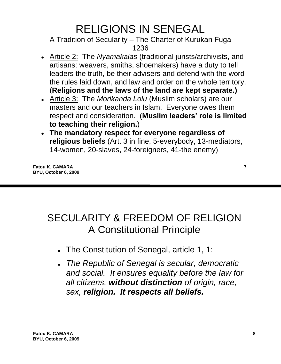# RELIGIONS IN SENEGAL

A Tradition of Secularity – The Charter of Kurukan Fuga 1236

- Article 2: The *Nyamakalas* (traditional jurists/archivists, and artisans: weavers, smiths, shoemakers) have a duty to tell leaders the truth, be their advisers and defend with the word the rules laid down, and law and order on the whole territory. (**Religions and the laws of the land are kept separate.)**
- Article 3: The *Morikanda Lolu* (Muslim scholars) are our masters and our teachers in Islam. Everyone owes them respect and consideration. (**Muslim leaders' role is limited to teaching their religion.**)
- **The mandatory respect for everyone regardless of religious beliefs** (Art. 3 in fine, 5-everybody, 13-mediators, 14-women, 20-slaves, 24-foreigners, 41-the enemy)

**Fatou K. CAMARA** 7 **BYU, October 6, 2009**

## SECULARITY & FREEDOM OF RELIGION A Constitutional Principle

- The Constitution of Senegal, article 1, 1:
- *The Republic of Senegal is secular, democratic and social. It ensures equality before the law for all citizens, without distinction of origin, race, sex, religion. It respects all beliefs.*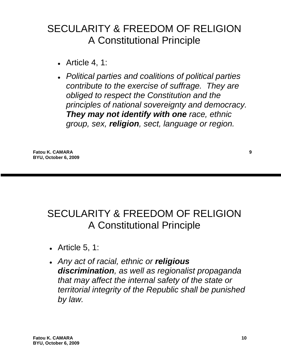#### SECULARITY & FREEDOM OF RELIGION A Constitutional Principle

- Article 4, 1:
- *Political parties and coalitions of political parties contribute to the exercise of suffrage. They are obliged to respect the Constitution and the principles of national sovereignty and democracy. They may not identify with one race, ethnic group, sex, religion, sect, language or region.*

**Fatou K. CAMARA 9 BYU, October 6, 2009**

#### SECULARITY & FREEDOM OF RELIGION A Constitutional Principle

- Article 5, 1:
- *Any act of racial, ethnic or religious discrimination, as well as regionalist propaganda that may affect the internal safety of the state or territorial integrity of the Republic shall be punished by law.*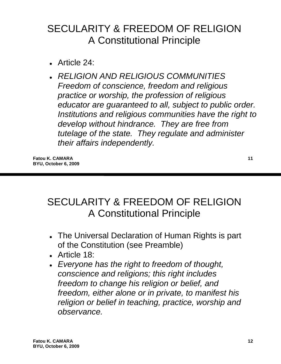#### SECULARITY & FREEDOM OF RELIGION A Constitutional Principle

- Article 24:
- *RELIGION AND RELIGIOUS COMMUNITIES Freedom of conscience, freedom and religious practice or worship, the profession of religious educator are guaranteed to all, subject to public order. Institutions and religious communities have the right to develop without hindrance. They are free from tutelage of the state. They regulate and administer their affairs independently.*

**Fatou K. CAMARA 11 BYU, October 6, 2009**

#### SECULARITY & FREEDOM OF RELIGION A Constitutional Principle

- The Universal Declaration of Human Rights is part of the Constitution (see Preamble)
- Article 18:
- *Everyone has the right to freedom of thought, conscience and religions; this right includes freedom to change his religion or belief, and freedom, either alone or in private, to manifest his religion or belief in teaching, practice, worship and observance.*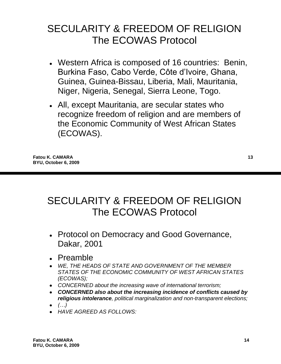- Western Africa is composed of 16 countries: Benin, Burkina Faso, Cabo Verde, Côte d"Ivoire, Ghana, Guinea, Guinea-Bissau, Liberia, Mali, Mauritania, Niger, Nigeria, Senegal, Sierra Leone, Togo.
- All, except Mauritania, are secular states who recognize freedom of religion and are members of the Economic Community of West African States (ECOWAS).

**Fatou K. CAMARA 13 BYU, October 6, 2009**

#### SECULARITY & FREEDOM OF RELIGION The ECOWAS Protocol

- Protocol on Democracy and Good Governance, Dakar, 2001
- Preamble
- *WE, THE HEADS OF STATE AND GOVERNMENT OF THE MEMBER STATES OF THE ECONOMIC COMMUNITY OF WEST AFRICAN STATES (ECOWAS);*
- *CONCERNED about the increasing wave of international terrorism;*
- *CONCERNED also about the increasing incidence of conflicts caused by religious intolerance, political marginalization and non-transparent elections;*
- *(…)*
- *HAVE AGREED AS FOLLOWS:*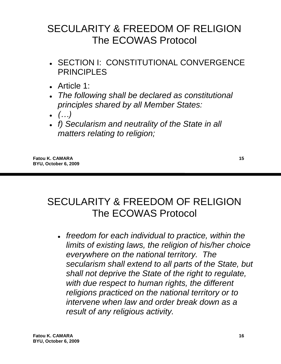- SECTION I: CONSTITUTIONAL CONVERGENCE **PRINCIPLES**
- Article 1:
- *The following shall be declared as constitutional principles shared by all Member States:*
- *(…)*
- *f) Secularism and neutrality of the State in all matters relating to religion;*

**Fatou K. CAMARA 15 BYU, October 6, 2009**

#### SECULARITY & FREEDOM OF RELIGION The ECOWAS Protocol

*freedom for each individual to practice, within the limits of existing laws, the religion of his/her choice everywhere on the national territory. The secularism shall extend to all parts of the State, but shall not deprive the State of the right to regulate, with due respect to human rights, the different religions practiced on the national territory or to intervene when law and order break down as a result of any religious activity.*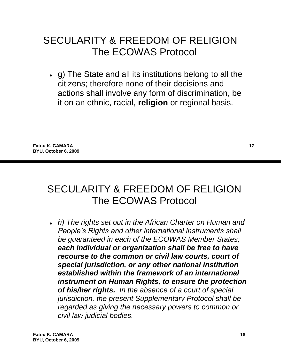g) The State and all its institutions belong to all the citizens; therefore none of their decisions and actions shall involve any form of discrimination, be it on an ethnic, racial, **religion** or regional basis.

**Fatou K. CAMARA 17 BYU, October 6, 2009**

#### SECULARITY & FREEDOM OF RELIGION The ECOWAS Protocol

*h) The rights set out in the African Charter on Human and People's Rights and other international instruments shall be guaranteed in each of the ECOWAS Member States; each individual or organization shall be free to have recourse to the common or civil law courts, court of special jurisdiction, or any other national institution established within the framework of an international instrument on Human Rights, to ensure the protection of his/her rights. In the absence of a court of special jurisdiction, the present Supplementary Protocol shall be regarded as giving the necessary powers to common or civil law judicial bodies.*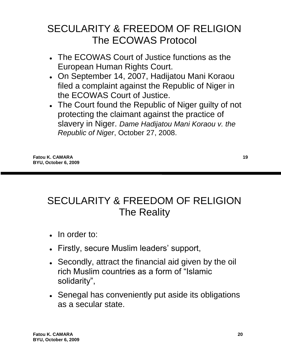- The ECOWAS Court of Justice functions as the European Human Rights Court.
- On September 14, 2007, Hadijatou Mani Koraou filed a complaint against the Republic of Niger in the ECOWAS Court of Justice.
- The Court found the Republic of Niger guilty of not protecting the claimant against the practice of slavery in Niger. *Dame Hadijatou Mani Koraou v. the Republic of Niger*, October 27, 2008.

**Fatou K. CAMARA 19 BYU, October 6, 2009**

## SECULARITY & FREEDOM OF RELIGION The Reality

- In order to:
- Firstly, secure Muslim leaders' support,
- Secondly, attract the financial aid given by the oil rich Muslim countries as a form of "Islamic solidarity",
- Senegal has conveniently put aside its obligations as a secular state.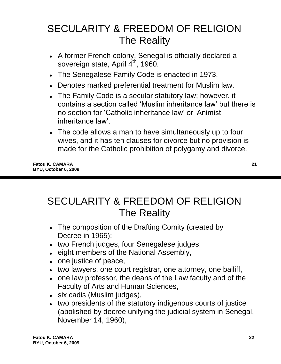# SECULARITY & FREEDOM OF RELIGION The Reality

- A former French colony, Senegal is officially declared a sovereign state, April 4<sup>th</sup>, 1960.
- The Senegalese Family Code is enacted in 1973.
- Denotes marked preferential treatment for Muslim law.
- The Family Code is a secular statutory law; however, it contains a section called "Muslim inheritance law" but there is no section for "Catholic inheritance law" or "Animist inheritance law".
- The code allows a man to have simultaneously up to four wives, and it has ten clauses for divorce but no provision is made for the Catholic prohibition of polygamy and divorce.

**Fatou K. CAMARA 21 BYU, October 6, 2009**

#### SECULARITY & FREEDOM OF RELIGION The Reality

- The composition of the Drafting Comity (created by Decree in 1965):
- two French judges, four Senegalese judges,
- eight members of the National Assembly,
- one justice of peace,
- two lawyers, one court registrar, one attorney, one bailiff,
- one law professor, the deans of the Law faculty and of the Faculty of Arts and Human Sciences,
- six cadis (Muslim judges),
- two presidents of the statutory indigenous courts of justice (abolished by decree unifying the judicial system in Senegal, November 14, 1960),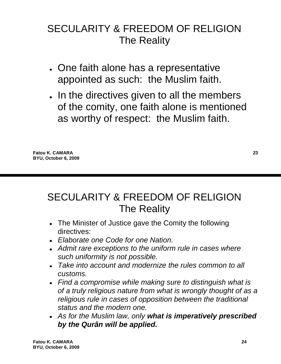## SECULARITY & FREEDOM OF RELIGION The Reality

- One faith alone has a representative appointed as such: the Muslim faith.
- . In the directives given to all the members of the comity, one faith alone is mentioned as worthy of respect: the Muslim faith.

# SECULARITY & FREEDOM OF RELIGION The Reality

- The Minister of Justice gave the Comity the following directives:
- *Elaborate one Code for one Nation.*
- *Admit rare exceptions to the uniform rule in cases where such uniformity is not possible.*
- *Take into account and modernize the rules common to all customs.*
- *Find a compromise while making sure to distinguish what is of a truly religious nature from what is wrongly thought of as a religious rule in cases of opposition between the traditional status and the modern one.*
- *As for the Muslim law, only what is imperatively prescribed by the Qurân will be applied.*